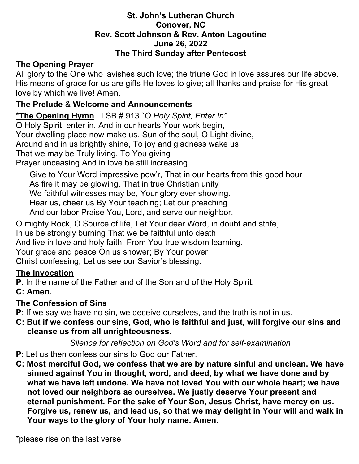#### **St. John's Lutheran Church Conover, NC Rev. Scott Johnson & Rev. Anton Lagoutine June 26, 2022 The Third Sunday after Pentecost**

#### **The Opening Prayer**

All glory to the One who lavishes such love; the triune God in love assures our life above. His means of grace for us are gifts He loves to give; all thanks and praise for His great love by which we live! Amen.

#### **The Prelude** & **Welcome and Announcements**

**\*The Opening Hymn** LSB # 913 "*O Holy Spirit, Enter In"*

O Holy Spirit, enter in, And in our hearts Your work begin,

Your dwelling place now make us. Sun of the soul, O Light divine,

Around and in us brightly shine, To joy and gladness wake us

That we may be Truly living, To You giving

Prayer unceasing And in love be still increasing.

 Give to Your Word impressive pow'r, That in our hearts from this good hour As fire it may be glowing, That in true Christian unity We faithful witnesses may be, Your glory ever showing. Hear us, cheer us By Your teaching; Let our preaching And our labor Praise You, Lord, and serve our neighbor.

O mighty Rock, O Source of life, Let Your dear Word, in doubt and strife,

In us be strongly burning That we be faithful unto death

And live in love and holy faith, From You true wisdom learning.

Your grace and peace On us shower; By Your power

Christ confessing, Let us see our Savior's blessing.

#### **The Invocation**

**P**: In the name of the Father and of the Son and of the Holy Spirit.

**C: Amen.** 

#### **The Confession of Sins**

- **P**: If we say we have no sin, we deceive ourselves, and the truth is not in us.
- **C: But if we confess our sins, God, who is faithful and just, will forgive our sins and cleanse us from all unrighteousness.**

*Silence for reflection on God's Word and for self-examination*

- **P**: Let us then confess our sins to God our Father.
- **C: Most merciful God, we confess that we are by nature sinful and unclean. We have sinned against You in thought, word, and deed, by what we have done and by what we have left undone. We have not loved You with our whole heart; we have not loved our neighbors as ourselves. We justly deserve Your present and eternal punishment. For the sake of Your Son, Jesus Christ, have mercy on us. Forgive us, renew us, and lead us, so that we may delight in Your will and walk in Your ways to the glory of Your holy name. Amen**.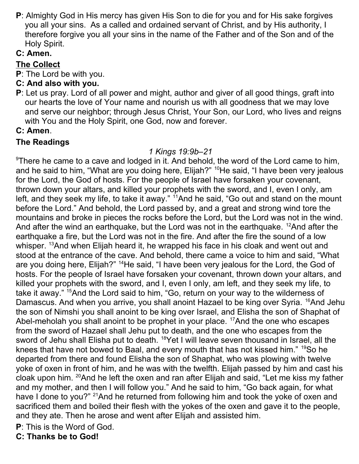**P**: Almighty God in His mercy has given His Son to die for you and for His sake forgives you all your sins. As a called and ordained servant of Christ, and by His authority, I therefore forgive you all your sins in the name of the Father and of the Son and of the Holy Spirit.

# **C: Amen.**

## **The Collect**

- **P**: The Lord be with you.
- **C: And also with you.**
- **P**: Let us pray. Lord of all power and might, author and giver of all good things, graft into our hearts the love of Your name and nourish us with all goodness that we may love and serve our neighbor; through Jesus Christ, Your Son, our Lord, who lives and reigns with You and the Holy Spirit, one God, now and forever.

#### **C: Amen**.

#### **The Readings**

#### *1 Kings 19:9b–21*

 $\textdegree$ There he came to a cave and lodged in it. And behold, the word of the Lord came to him, and he said to him, "What are you doing here, Elijah?" <sup>10</sup>He said, "I have been very jealous for the Lord, the God of hosts. For the people of Israel have forsaken your covenant, thrown down your altars, and killed your prophets with the sword, and I, even I only, am left, and they seek my life, to take it away." <sup>11</sup>And he said, "Go out and stand on the mount before the Lord." And behold, the Lord passed by, and a great and strong wind tore the mountains and broke in pieces the rocks before the Lord, but the Lord was not in the wind. And after the wind an earthquake, but the Lord was not in the earthquake. <sup>12</sup>And after the earthquake a fire, but the Lord was not in the fire. And after the fire the sound of a low whisper. <sup>13</sup>And when Elijah heard it, he wrapped his face in his cloak and went out and stood at the entrance of the cave. And behold, there came a voice to him and said, "What are you doing here, Elijah?" <sup>14</sup>He said, "I have been very jealous for the Lord, the God of hosts. For the people of Israel have forsaken your covenant, thrown down your altars, and killed your prophets with the sword, and I, even I only, am left, and they seek my life, to take it away." <sup>15</sup>And the Lord said to him, "Go, return on your way to the wilderness of Damascus. And when you arrive, you shall anoint Hazael to be king over Syria. <sup>16</sup>And Jehu the son of Nimshi you shall anoint to be king over Israel, and Elisha the son of Shaphat of Abel-meholah you shall anoint to be prophet in your place. <sup>17</sup>And the one who escapes from the sword of Hazael shall Jehu put to death, and the one who escapes from the sword of Jehu shall Elisha put to death. <sup>18</sup>Yet I will leave seven thousand in Israel, all the knees that have not bowed to Baal, and every mouth that has not kissed him." <sup>19</sup>So he departed from there and found Elisha the son of Shaphat, who was plowing with twelve yoke of oxen in front of him, and he was with the twelfth. Elijah passed by him and cast his cloak upon him. <sup>20</sup>And he left the oxen and ran after Elijah and said, "Let me kiss my father and my mother, and then I will follow you." And he said to him, "Go back again, for what have I done to you?" <sup>21</sup>And he returned from following him and took the yoke of oxen and sacrificed them and boiled their flesh with the yokes of the oxen and gave it to the people, and they ate. Then he arose and went after Elijah and assisted him.

**P**: This is the Word of God.

**C: Thanks be to God!**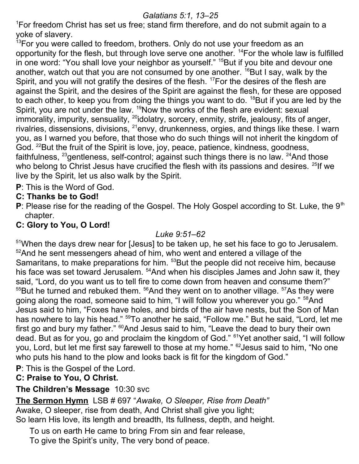#### *Galatians 5:1, 13–25*

<sup>1</sup>For freedom Christ has set us free; stand firm therefore, and do not submit again to a yoke of slavery.

 $13$ For you were called to freedom, brothers. Only do not use your freedom as an opportunity for the flesh, but through love serve one another. <sup>14</sup>For the whole law is fulfilled in one word: "You shall love your neighbor as yourself." <sup>15</sup>But if you bite and devour one another, watch out that you are not consumed by one another.  $^{16}$ But I say, walk by the Spirit, and you will not gratify the desires of the flesh. <sup>17</sup>For the desires of the flesh are against the Spirit, and the desires of the Spirit are against the flesh, for these are opposed to each other, to keep you from doing the things you want to do. <sup>18</sup>But if you are led by the Spirit, you are not under the law. <sup>19</sup>Now the works of the flesh are evident: sexual immorality, impurity, sensuality,  $^{20}$ idolatry, sorcery, enmity, strife, jealousy, fits of anger, rivalries, dissensions, divisions,  $^{21}$ envy, drunkenness, orgies, and things like these. I warn you, as I warned you before, that those who do such things will not inherit the kingdom of God. <sup>22</sup>But the fruit of the Spirit is love, joy, peace, patience, kindness, goodness, faithfulness, <sup>23</sup>gentleness, self-control; against such things there is no law. <sup>24</sup>And those who belong to Christ Jesus have crucified the flesh with its passions and desires. <sup>25</sup>If we live by the Spirit, let us also walk by the Spirit.

**P**: This is the Word of God.

#### **C: Thanks be to God!**

**P**: Please rise for the reading of the Gospel. The Holy Gospel according to St. Luke, the 9<sup>th</sup> chapter.

## **C: Glory to You, O Lord!**

## *Luke 9:51–62*

<sup>51</sup>When the days drew near for [Jesus] to be taken up, he set his face to go to Jerusalem. <sup>52</sup>And he sent messengers ahead of him, who went and entered a village of the Samaritans, to make preparations for him. <sup>53</sup>But the people did not receive him, because his face was set toward Jerusalem. <sup>54</sup>And when his disciples James and John saw it, they said, "Lord, do you want us to tell fire to come down from heaven and consume them?"  $55$ But he turned and rebuked them.  $56$ And they went on to another village.  $57$ As they were going along the road, someone said to him, "I will follow you wherever you go." <sup>58</sup>And Jesus said to him, "Foxes have holes, and birds of the air have nests, but the Son of Man has nowhere to lay his head." <sup>59</sup>To another he said, "Follow me." But he said, "Lord, let me first go and bury my father." <sup>60</sup>And Jesus said to him, "Leave the dead to bury their own dead. But as for you, go and proclaim the kingdom of God." <sup>61</sup>Yet another said, "I will follow you, Lord, but let me first say farewell to those at my home." <sup>62</sup>Jesus said to him, "No one who puts his hand to the plow and looks back is fit for the kingdom of God."

**P**: This is the Gospel of the Lord.

# **C: Praise to You, O Christ.**

## **The Children's Message** 10:30 svc

**The Sermon Hymn** LSB # 697 "*Awake, O Sleeper, Rise from Death"*  Awake, O sleeper, rise from death, And Christ shall give you light; So learn His love, its length and breadth, Its fullness, depth, and height.

 To us on earth He came to bring From sin and fear release, To give the Spirit's unity, The very bond of peace.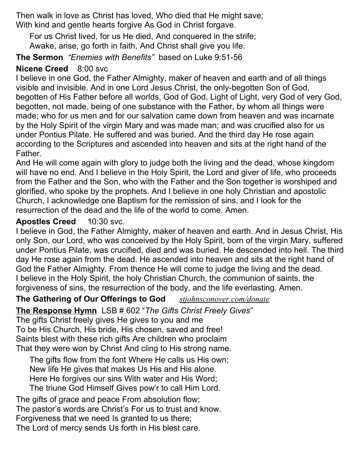Then walk in love as Christ has loved, Who died that He might save; With kind and gentle hearts forgive As God in Christ forgave.

 For us Christ lived, for us He died, And conquered in the strife; Awake, arise, go forth in faith, And Christ shall give you life.

**The Sermon** *"Enemies with Benefits"* based on Luke 9:51-56

# **Nicene Creed** 8:00 svc

I believe in one God, the Father Almighty, maker of heaven and earth and of all things visible and invisible. And in one Lord Jesus Christ, the only-begotten Son of God, begotten of His Father before all worlds, God of God, Light of Light, very God of very God, begotten, not made, being of one substance with the Father, by whom all things were made; who for us men and for our salvation came down from heaven and was incarnate by the Holy Spirit of the virgin Mary and was made man; and was crucified also for us under Pontius Pilate. He suffered and was buried. And the third day He rose again according to the Scriptures and ascended into heaven and sits at the right hand of the Father.

And He will come again with glory to judge both the living and the dead, whose kingdom will have no end. And I believe in the Holy Spirit, the Lord and giver of life, who proceeds from the Father and the Son, who with the Father and the Son together is worshiped and glorified, who spoke by the prophets. And I believe in one holy Christian and apostolic Church, I acknowledge one Baptism for the remission of sins, and I look for the resurrection of the dead and the life of the world to come. Amen.

## **Apostles Creed** 10:30 svc.

I believe in God, the Father Almighty, maker of heaven and earth. And in Jesus Christ, His only Son, our Lord, who was conceived by the Holy Spirit, born of the virgin Mary, suffered under Pontius Pilate, was crucified, died and was buried. He descended into hell. The third day He rose again from the dead. He ascended into heaven and sits at the right hand of God the Father Almighty. From thence He will come to judge the living and the dead. I believe in the Holy Spirit, the holy Christian Church, the communion of saints, the forgiveness of sins, the resurrection of the body, and the life everlasting. Amen.

**The Gathering of Our Offerings to God** *[stjohnsconover.com/donate](https://www.stjohnsconover.com/donate)*

**The Response Hymn** LSB # 602 "*The Gifts Christ Freely Gives*"

The gifts Christ freely gives He gives to you and me To be His Church, His bride, His chosen, saved and free! Saints blest with these rich gifts Are children who proclaim That they were won by Christ And cling to His strong name.

 The gifts flow from the font Where He calls us His own; New life He gives that makes Us His and His alone. Here He forgives our sins With water and His Word; The triune God Himself Gives pow'r to call Him Lord.

The gifts of grace and peace From absolution flow; The pastor's words are Christ's For us to trust and know. Forgiveness that we need Is granted to us there; The Lord of mercy sends Us forth in His blest care.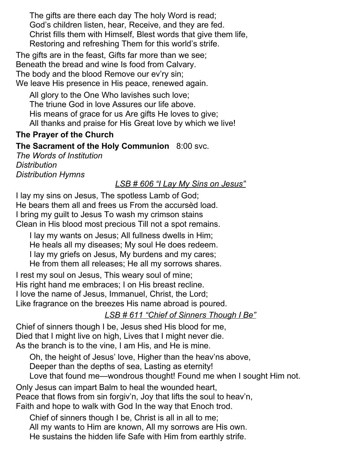The gifts are there each day The holy Word is read; God's children listen, hear, Receive, and they are fed. Christ fills them with Himself, Blest words that give them life, Restoring and refreshing Them for this world's strife.

The gifts are in the feast, Gifts far more than we see; Beneath the bread and wine Is food from Calvary. The body and the blood Remove our ev'ry sin; We leave His presence in His peace, renewed again.

 All glory to the One Who lavishes such love; The triune God in love Assures our life above. His means of grace for us Are gifts He loves to give; All thanks and praise for His Great love by which we live!

## **The Prayer of the Church**

#### **The Sacrament of the Holy Communion** 8:00 svc.

*The Words of Institution Distribution Distribution Hymns* 

#### *LSB # 606 "I Lay My Sins on Jesus"*

I lay my sins on Jesus, The spotless Lamb of God; He bears them all and frees us From the accursèd load. I bring my guilt to Jesus To wash my crimson stains Clean in His blood most precious Till not a spot remains.

 I lay my wants on Jesus; All fullness dwells in Him; He heals all my diseases; My soul He does redeem. I lay my griefs on Jesus, My burdens and my cares; He from them all releases; He all my sorrows shares.

I rest my soul on Jesus, This weary soul of mine; His right hand me embraces; I on His breast recline. I love the name of Jesus, Immanuel, Christ, the Lord; Like fragrance on the breezes His name abroad is poured.

## *LSB # 611 "Chief of Sinners Though I Be"*

Chief of sinners though I be, Jesus shed His blood for me, Died that I might live on high, Lives that I might never die. As the branch is to the vine, I am His, and He is mine.

 Oh, the height of Jesus' love, Higher than the heav'ns above, Deeper than the depths of sea, Lasting as eternity! Love that found me—wondrous thought! Found me when I sought Him not.

Only Jesus can impart Balm to heal the wounded heart, Peace that flows from sin forgiv'n, Joy that lifts the soul to heav'n, Faith and hope to walk with God In the way that Enoch trod.

 Chief of sinners though I be, Christ is all in all to me; All my wants to Him are known, All my sorrows are His own. He sustains the hidden life Safe with Him from earthly strife.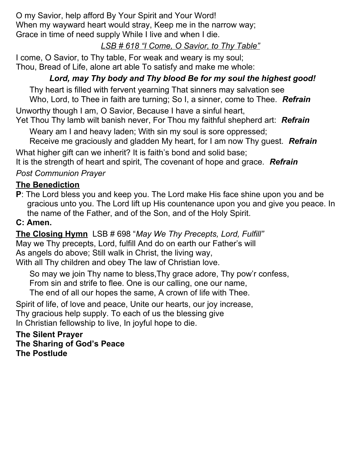O my Savior, help afford By Your Spirit and Your Word! When my wayward heart would stray, Keep me in the narrow way; Grace in time of need supply While I live and when I die.

# *LSB # 618 "I Come, O Savior, to Thy Table"*

I come, O Savior, to Thy table, For weak and weary is my soul; Thou, Bread of Life, alone art able To satisfy and make me whole:

# *Lord, may Thy body and Thy blood Be for my soul the highest good!*

 Thy heart is filled with fervent yearning That sinners may salvation see Who, Lord, to Thee in faith are turning; So I, a sinner, come to Thee. *Refrain*

Unworthy though I am, O Savior, Because I have a sinful heart,

Yet Thou Thy lamb wilt banish never, For Thou my faithful shepherd art: *Refrain*

Weary am I and heavy laden; With sin my soul is sore oppressed;

Receive me graciously and gladden My heart, for I am now Thy guest. *Refrain*

What higher gift can we inherit? It is faith's bond and solid base;

It is the strength of heart and spirit, The covenant of hope and grace. *Refrain*

## *Post Communion Prayer*

#### **The Benediction**

**P**: The Lord bless you and keep you. The Lord make His face shine upon you and be gracious unto you. The Lord lift up His countenance upon you and give you peace. In the name of the Father, and of the Son, and of the Holy Spirit.

#### **C: Amen.**

**The Closing Hymn** LSB # 698 "*May We Thy Precepts, Lord, Fulfill"* May we Thy precepts, Lord, fulfill And do on earth our Father's will As angels do above; Still walk in Christ, the living way, With all Thy children and obey The law of Christian love.

 So may we join Thy name to bless,Thy grace adore, Thy pow'r confess, From sin and strife to flee. One is our calling, one our name, The end of all our hopes the same, A crown of life with Thee.

Spirit of life, of love and peace, Unite our hearts, our joy increase, Thy gracious help supply. To each of us the blessing give In Christian fellowship to live, In joyful hope to die.

**The Silent Prayer The Sharing of God's Peace The Postlude**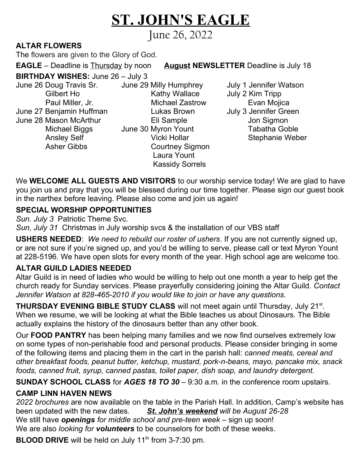# **ST. JOHN'S EAGLE**

June 26, 2022

# **ALTAR FLOWERS**

The flowers are given to the Glory of God.

**EAGLE** – Deadline is Thursday by noon **August NEWSLETTER** Deadline is July 18

**BIRTHDAY WISHES:** June 26 – July 3

June 26 Doug Travis Sr. June 29 Milly Humphrey July 1 Jennifer Watson June 27 Benjamin Huffman **Lukas Brown** June 28 Mason McArthur Eli Sample Jon Sigmon

Gilbert Ho **Kathy Wallace** July 2 Kim Tripp Paul Miller, Jr. Michael Zastrow Evan Mojica Michael Biggs June 30 Myron Yount Tabatha Goble Ansley Self **Nicki Hollar** Stephanie Weber Asher Gibbs Courtney Sigmon Laura Yount Kassidy Sorrels

We **WELCOME ALL GUESTS AND VISITORS** to our worship service today! We are glad to have you join us and pray that you will be blessed during our time together. Please sign our guest book in the narthex before leaving. Please also come and join us again!

#### **SPECIAL WORSHIP OPPORTUNITIES**

*Sun. July 3* Patriotic Theme Svc.

*Sun, July 31* Christmas in July worship svcs & the installation of our VBS staff

**USHERS NEEDED**: *We need to rebuild our roster of ushers*. If you are not currently signed up, or are not sure if you're signed up, and you'd be willing to serve, please call or text Myron Yount at 228-5196. We have open slots for every month of the year. High school age are welcome too.

#### **ALTAR GUILD LADIES NEEDED**

Altar Guild is in need of ladies who would be willing to help out one month a year to help get the church ready for Sunday services. Please prayerfully considering joining the Altar Guild. *Contact Jennifer Watson at 828-465-2010 if you would like to join or have any questions.* 

**THURSDAY EVENING BIBLE STUDY CLASS** will not meet again until Thursday, July 21<sup>st</sup>. When we resume, we will be looking at what the Bible teaches us about Dinosaurs. The Bible actually explains the history of the dinosaurs better than any other book.

Our **FOOD PANTRY** has been helping many families and we now find ourselves extremely low on some types of non-perishable food and personal products. Please consider bringing in some of the following items and placing them in the cart in the parish hall: *canned meats, cereal and other breakfast foods, peanut butter, ketchup, mustard, pork-n-beans, mayo, pancake mix, snack foods, canned fruit, syrup, canned pastas, toilet paper, dish soap, and laundry detergent.*

**SUNDAY SCHOOL CLASS** for *AGES 18 TO 30* – 9:30 a.m. in the conference room upstairs.

#### **CAMP LINN HAVEN NEWS**

*2022 brochures* are now available on the table in the Parish Hall. In addition, Camp's website has been updated with the new dates. *St. John's weekend will be August 26-28* We still have *openings for middle school and pre-teen week* – sign up soon! We are also *looking for volunteers* to be counselors for both of these weeks.

**BLOOD DRIVE** will be held on July 11<sup>th</sup> from 3-7:30 pm.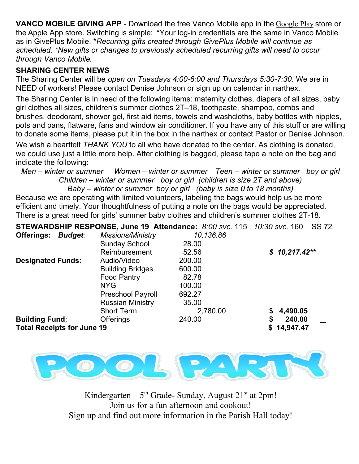**VANCO MOBILE GIVING APP** - Download the free Vanco Mobile app in the [Google Play](https://vancopayments.us2.list-manage.com/track/click?u=bc38771a0f067c17a92375055&id=5dba96e0c5&e=9d1d8a9ee9) store or the Apple App store. Switching is simple:  \*Your log-in credentials are the same in Vanco Mobile as in GivePlus Mobile. \**Recurring gifts created through GivePlus Mobile will continue as scheduled. \*New gifts or changes to previously scheduled recurring gifts will need to occur through Vanco Mobile.*

#### **SHARING CENTER NEWS**

The Sharing Center will be *open on Tuesdays 4:00-6:00 and Thursdays 5:30-7:30*. We are in NEED of workers! Please contact Denise Johnson or sign up on calendar in narthex.

The Sharing Center is in need of the following items: maternity clothes, diapers of all sizes, baby girl clothes all sizes, children's summer clothes 2T–18, toothpaste, shampoo, combs and brushes, deodorant, shower gel, first aid items, towels and washcloths, baby bottles with nipples, pots and pans, flatware, fans and window air conditioner. If you have any of this stuff or are willing to donate some items, please put it in the box in the narthex or contact Pastor or Denise Johnson.

We wish a heartfelt *THANK YOU* to all who have donated to the center. As clothing is donated, we could use just a little more help. After clothing is bagged, please tape a note on the bag and indicate the following:

*Men – winter or summer Women – winter or summer Teen – winter or summer boy or girl Children – winter or summer boy or girl (children is size 2T and above)*

*Baby – winter or summer boy or girl (baby is size 0 to 18 months)* Because we are operating with limited volunteers, labeling the bags would help us be more efficient and timely. Your thoughtfulness of putting a note on the bags would be appreciated. There is a great need for girls' summer baby clothes and children's summer clothes 2T-18.

|                                   |                |                          | STEWARDSHIP RESPONSE, June 19 Attendance: 8:00 svc. 115 10:30 svc. 160 | <b>SS 72</b>   |
|-----------------------------------|----------------|--------------------------|------------------------------------------------------------------------|----------------|
| Offerings:                        | <b>Budget:</b> | <b>Missions/Ministry</b> | 10,136.86                                                              |                |
|                                   |                | <b>Sunday School</b>     | 28.00                                                                  |                |
|                                   |                | Reimbursement            | 52.56                                                                  | $$10,217.42**$ |
| <b>Designated Funds:</b>          |                | Audio/Video              | 200.00                                                                 |                |
|                                   |                | <b>Building Bridges</b>  | 600.00                                                                 |                |
|                                   |                | <b>Food Pantry</b>       | 82.78                                                                  |                |
|                                   |                | <b>NYG</b>               | 100.00                                                                 |                |
|                                   |                | <b>Preschool Payroll</b> | 692.27                                                                 |                |
|                                   |                | <b>Russian Ministry</b>  | 35.00                                                                  |                |
|                                   |                | <b>Short Term</b>        | 2,780.00                                                               | 4,490.05<br>\$ |
| <b>Building Fund:</b>             |                | <b>Offerings</b>         | 240.00                                                                 | \$<br>240.00   |
| <b>Total Receipts for June 19</b> |                |                          |                                                                        | 14,947.47      |



 $Kindergarten – 5<sup>th</sup> Grade- Sunday, August 21<sup>st</sup> at 2pm!$ </u> Join us for a fun afternoon and cookout! Sign up and find out more information in the Parish Hall today!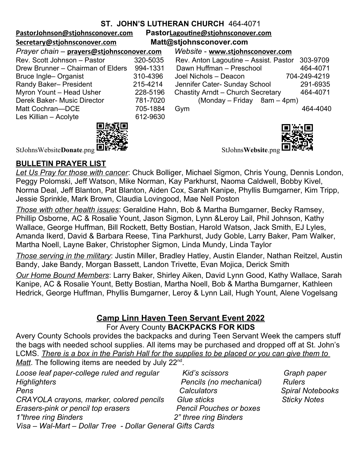#### **ST. JOHN'S LUTHERAN CHURCH** 464-4071

**[PastorJohnson@stjohnsconover.com](mailto:PastorJohnson@stjohnsconover.com) Pastor[Lagoutine@stjohnsconover.com](mailto:Lagoutine@stjohnsconover.com)**

| PastorLagoutine@stjohnsconover.com |  |
|------------------------------------|--|
| Matt@etiahnecanover.com            |  |

**[Secretary@stjohnsconover.com](mailto:Secretary@stjohnsconover.com) Matt@stjohnsconover.com**

| Prayer chain - prayers@stjohnsconover.com |          | Website - www.stjohnsconover.com         |
|-------------------------------------------|----------|------------------------------------------|
| Rev. Scott Johnson - Pastor               | 320-5035 | Rev. Anton Lagoutine - Assist. Pastor    |
| Drew Brunner – Chairman of Elders         | 994-1331 | Dawn Huffman - Preschool                 |
| Bruce Ingle-Organist                      | 310-4396 | Joel Nichols - Deacon<br>704             |
| Randy Baker- President                    | 215-4214 | Jennifer Cater- Sunday School            |
| Myron Yount - Head Usher                  | 228-5196 | <b>Chastity Arndt - Church Secretary</b> |
| Derek Baker- Music Director               | 781-7020 | (Monday – Friday 8am – 4pm)              |
| Matt Cochran-DCE                          | 705-1884 | Gym                                      |
| Les Killian - Acolyte                     | 612-9630 |                                          |
|                                           |          |                                          |

#### *Prayer chain* – **[prayers@stjohnsconover.com](mailto:prayers@stjohnsconover.com)** *Website* - **[www.stjohnsconover.com](http://www.stjohnsconover.com/)**

| Rev. Scott Johnson - Pastor       | 320-5035 | Rev. Anton Lagoutine - Assist. Pastor 303-9709 |  |
|-----------------------------------|----------|------------------------------------------------|--|
| Drew Brunner - Chairman of Elders | 994-1331 | Dawn Huffman - Preschool<br>464-4071           |  |
| Bruce Ingle- Organist             | 310-4396 | 704-249-4219<br>Joel Nichols - Deacon          |  |
| Randy Baker- President            | 215-4214 | Jennifer Cater- Sunday School<br>291-6935      |  |
| Myron Yount - Head Usher          | 228-5196 | Chastity Arndt - Church Secretary<br>464-4071  |  |
| Derek Baker- Music Director       | 781-7020 | $(Monday - Friday 8am - 4pm)$                  |  |
| Matt Cochran—DCE                  | 705-1884 | 464-4040<br>Gym                                |  |
| Les Killian – Acolyte.            | 612-9630 |                                                |  |



StJohnsWebsiteDonate.png LIF<sup>2</sup>

*Loose leaf paper-college ruled and regular Kid's scissors Graph paper* 

*Spiral Notebooks CRAY Notes* 

#### **BULLETIN PRAYER LIST**

*Let Us Pray for those with cancer*: Chuck Bolliger, Michael Sigmon, Chris Young, Dennis London, Peggy Polomski, Jeff Watson, Mike Norman, Kay Parkhurst, Naoma Caldwell, Bobby Kivel, Norma Deal, Jeff Blanton, Pat Blanton, Aiden Cox, Sarah Kanipe, Phyllis Bumgarner, Kim Tripp, Jessie Sprinkle, Mark Brown, Claudia Lovingood, Mae Nell Poston

*Those with other health issues*: Geraldine Hahn, Bob & Martha Bumgarner, Becky Ramsey, Phillip Osborne, AC & Rosalie Yount, Jason Sigmon, Lynn &Leroy Lail, Phil Johnson, Kathy Wallace, George Huffman, Bill Rockett, Betty Bostian, Harold Watson, Jack Smith, EJ Lyles, Amanda Ikerd, David & Barbara Reese, Tina Parkhurst, Judy Goble, Larry Baker, Pam Walker, Martha Noell, Layne Baker, Christopher Sigmon, Linda Mundy, Linda Taylor

*Those serving in the military*: Justin Miller, Bradley Hatley, Austin Elander, Nathan Reitzel, Austin Bandy, Jake Bandy, Morgan Bassett, Landon Trivette, Evan Mojica, Derick Smith

*Our Home Bound Members*: Larry Baker, Shirley Aiken, David Lynn Good, Kathy Wallace, Sarah Kanipe, AC & Rosalie Yount, Betty Bostian, Martha Noell, Bob & Martha Bumgarner, Kathleen Hedrick, George Huffman, Phyllis Bumgarner, Leroy & Lynn Lail, Hugh Yount, Alene Vogelsang

#### **Camp Linn Haven Teen Servant Event 2022** For Avery County **BACKPACKS FOR KIDS**

Avery County Schools provides the backpacks and during Teen Servant Week the campers stuff the bags with needed school supplies. All items may be purchased and dropped off at St. John's LCMS. *There is a box in the Parish Hall for the supplies to be placed or you can give them to*  Matt. The following items are needed by July 22<sup>nd</sup>.

| Loose leaf paper-college ruled and regular                 | Kid's scissors                 | Graph         |
|------------------------------------------------------------|--------------------------------|---------------|
| <b>Highlighters</b>                                        | Pencils (no mechanical)        | Rulers        |
| Pens                                                       | Calculators                    | Spiral I      |
| CRAYOLA crayons, marker, colored pencils                   | Glue sticks                    | <b>Sticky</b> |
| Erasers-pink or pencil top erasers                         | <b>Pencil Pouches or boxes</b> |               |
| 1"three ring Binders                                       | 2" three ring Binders          |               |
| Visa - Wal-Mart - Dollar Tree - Dollar General Gifts Cards |                                |               |